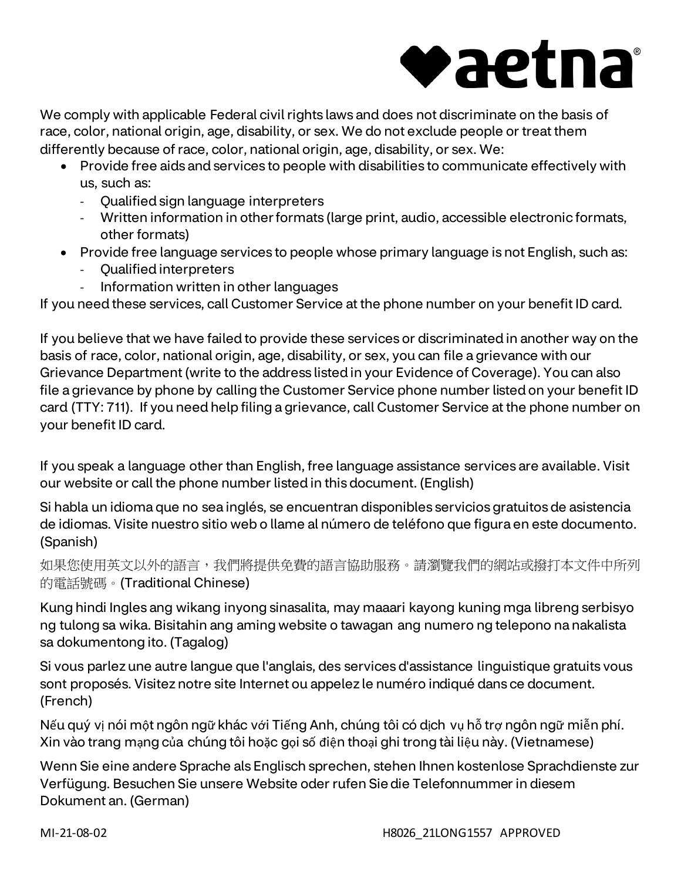

We comply with applicable Federal civil rights laws and does not discriminate on the basis of race, color, national origin, age, disability, or sex. We do not exclude people or treat them differently because of race, color, national origin, age, disability, or sex. We:

- Provide free aids and services to people with disabilities to communicate effectively with us, such as:
	- Qualified sign language interpreters
	- Written information in other formats (large print, audio, accessible electronic formats, other formats)
- Provide free language services to people whose primary language is not English, such as:
	- Qualified interpreters
	- Information written in other languages

If you need these services, call Customer Service at the phone number on your benefit ID card.

If you believe that we have failed to provide these services or discriminated in another way on the basis of race, color, national origin, age, disability, or sex, you can file a grievance with our Grievance Department (write to the address listed in your Evidence of Coverage). You can also file a grievance by phone by calling the Customer Service phone number listed on your benefit ID card (TTY: 711). If you need help filing a grievance, call Customer Service at the phone number on your benefit ID card.

If you speak a language other than English, free language assistance services are available. Visit our website or call the phone number listed in this document. (English)

Si habla un idioma que no sea inglés, se encuentran disponibles servicios gratuitos de asistencia de idiomas. Visite nuestro sitio web o llame al número de teléfono que figura en este documento. (Spanish)

如果您使用英文以外的語言,我們將提供免費的語言協助服務。請瀏覽我們的網站或撥打本文件中所列 的電話號碼。(Traditional Chinese)

Kung hindi Ingles ang wikang inyong sinasalita, may maaari kayong kuning mga libreng serbisyo ng tulong sa wika. Bisitahin ang aming website o tawagan ang numero ng telepono na nakalista sa dokumentong ito. (Tagalog)

Si vous parlez une autre langue que l'anglais, des services d'assistance linguistique gratuits vous sont proposés. Visitez notre site Internet ou appelez le numéro indiqué dans ce document. (French)

Nếu quý vị nói một ngôn ngữ khác với Tiếng Anh, chúng tôi có dịch vụ hỗ trợ ngôn ngữ miễn phí. Xin vào trang mạng của chúng tôi hoặc gọi số điện thoại ghi trong tài liệu này. (Vietnamese)

Wenn Sie eine andere Sprache als Englisch sprechen, stehen Ihnen kostenlose Sprachdienste zur Verfügung. Besuchen Sie unsere Website oder rufen Sie die Telefonnummer in diesem Dokument an. (German)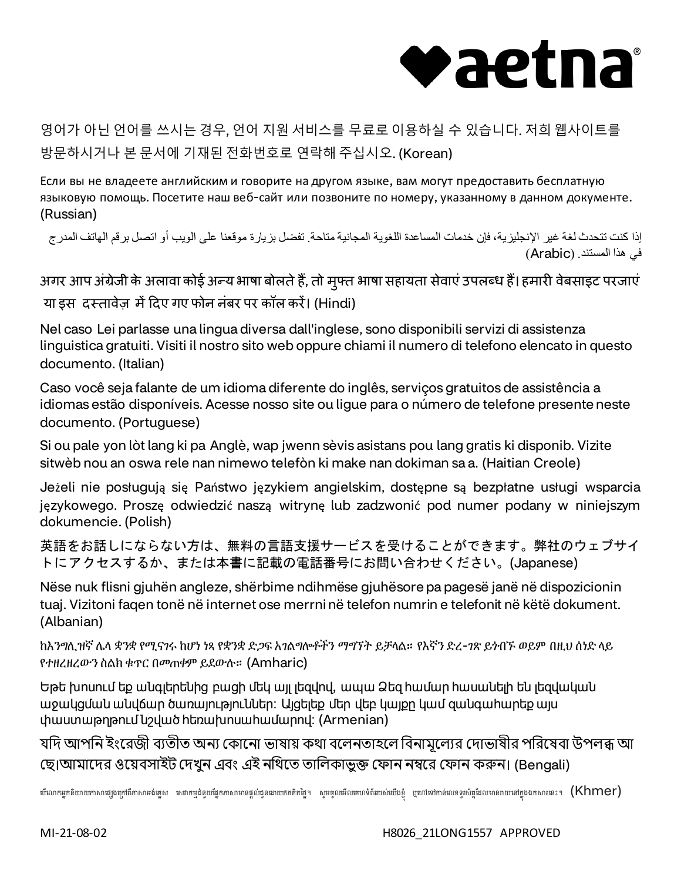

## 영어가 아닌 언어를 쓰시는 경우, 언어 지원 서비스를 무료로 이용하실 수 있습니다. 저희 웹사이트를 방문하시거나 본 문서에 기재된 전화번호로 연락해 주십시오. (Korean)

Если вы не владеете английским и говорите на другом языке, вам могут предоставить бесплатную языковую помощь. Посетите наш веб-сайт или позвоните по номеру, указанному в данном документе. (Russian)

إذا كنت تتحدث لغة غیر الإنجلیزیة، فإن خدمات المساعدة اللغویة المجانیة متاحة. تفضل بزیارة موقعنا على الویب أو اتصل برقم الھاتف المدرج في ھذا المستند. (Arabic(

अगर आप अंग्रेजी के अलावा कोई अन्य भाषा बोलते हैं, तो मुफ्त भाषा सहायता सेवाएं उपलब्ध हैं। हमारी वेबसाइट परजाएं या इस दस्तावेज़ में दिए गए फोन नंबर पर कॉल करें। (Hindi)

Nel caso Lei parlasse una lingua diversa dall'inglese, sono disponibili servizi di assistenza linguistica gratuiti. Visiti il nostro sito web oppure chiami il numero di telefono elencato in questo documento. (Italian)

Caso você seja falante de um idioma diferente do inglês, serviços gratuitos de assistência a idiomas estão disponíveis. Acesse nosso site ou ligue para o número de telefone presente neste documento. (Portuguese)

Si ou pale yon lòt lang ki pa Anglè, wap jwenn sèvis asistans pou lang gratis ki disponib. Vizite sitwèb nou an oswa rele nan nimewo telefòn ki make nan dokiman sa a. (Haitian Creole)

Jeżeli nie posługują się Państwo językiem angielskim, dostępne są bezpłatne usługi wsparcia językowego. Proszę odwiedzić naszą witrynę lub zadzwonić pod numer podany w niniejszym dokumencie. (Polish)

英語をお話しにならない方は、無料の言語支援サービスを受けることができます。弊社のウェブサイ トにアクセスするか、または本書に記載の電話番号にお問い合わせください。(Japanese)

Nëse nuk flisni gjuhën angleze, shërbime ndihmëse gjuhësore pa pagesë janë në dispozicionin tuaj. Vizitoni faqen tonë në internet ose merrni në telefon numrin e telefonit në këtë dokument. (Albanian)

ከእንግሊዝኛ ሌላ ቋንቋ የሚናገሩ ከሆነ ነጻ የቋንቋ ድጋፍ አገልግሎቶችን ማግኘት ይቻላል። የእኛን ድረ-ገጽ ይጎብኙ ወይም በዚህ ሰነድ ላይ የተዘረዘረውን ስልክ ቁጥር በመጠቀም ይደውሉ። (Amharic)

Եթե խոսում եք անգլերենից բացի մեկ այլ լեզվով, ապա Ձեզ համար հասանելի են լեզվական աջակցման անվճար ծառայություններ։ Այցելեք մեր վեբ կայքը կամ զանգահարեք այս փաստաթղթում նշված հեռախոսահամարով։ (Armenian)

যদি আপনি ইংরেজী ব্যতীত অন্য কোনো ভাষায় কথা বলেনতাহলে বিনামূল্যের দোভাষীর পরিষেবা উপলব্ধ আ ছে।আমাদের ওয়েবসাইট দেখুন এবং এই নথিতে তালিকাভুক্ত ফোন নম্বরে ফোন করুন। (Bengali)

ឃីលោកអ្នកនិយាយភាសាផ្សងក្រៅពីភាសាអង់គ្លេស សេវាកម្មដំនួយផ្នែកភាសាមានផ្តល់ជូនដោយឥតគិតតិផ្នែ។ សូមចូលមើលតាំងយប់លើងខ្ញុំ ឬហៅទៅកាន់លេខទូរស័ព្ទដែលមានរាយនៅក្នុងឯកសារនេះ។  $(\mathsf{Kmmer})$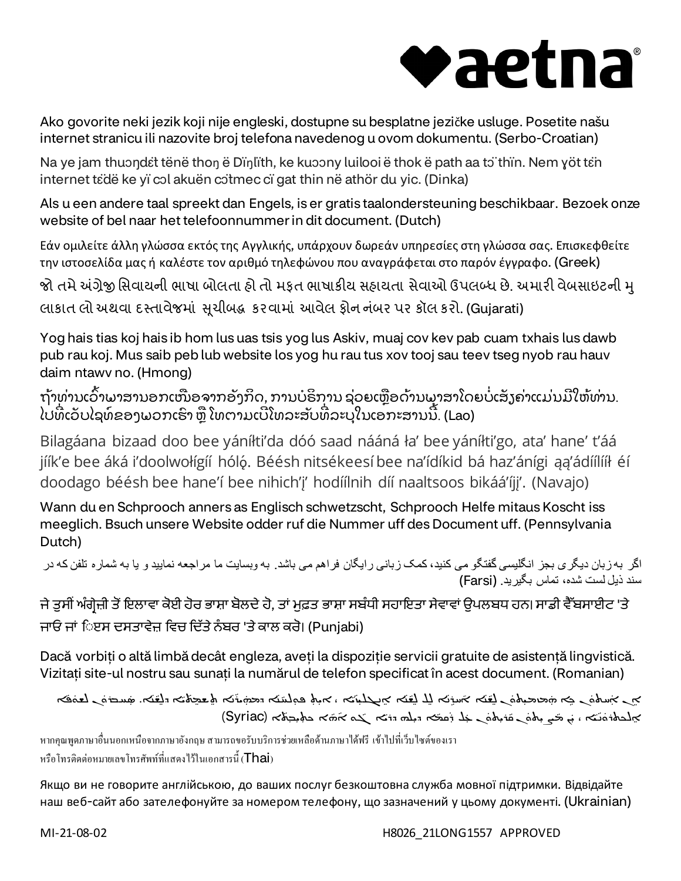## vaetna

Ako govorite neki jezik koji nije engleski, dostupne su besplatne jezičke usluge. Posetite našu internet stranicu ili nazovite broj telefona navedenog u ovom dokumentu. (Serbo-Croatian)

Na ye jam thuondɛ̃t tënë thon ë Dïŋlïth, ke kuɔɔny luilooi ë thok ë path aa tɔ̃ thïn. Nem yöt tɛ̃n internet tɛ̈dë ke yï cɔl akuën cɔ̈tmec cï gat thin në athör du yic. (Dinka)

Als u een andere taal spreekt dan Engels, is er gratis taalondersteuning beschikbaar. Bezoek onze website of bel naar het telefoonnummer in dit document. (Dutch)

Εάν ομιλείτε άλλη γλώσσα εκτός της Αγγλικής, υπάρχουν δωρεάν υπηρεσίες στη γλώσσα σας. Επισκεφθείτε την ιστοσελίδα μας ή καλέστε τον αριθμό τηλεφώνου που αναγράφεται στο παρόν έγγραφο. (Greek)

જો તમે અંગ્રેજી સિવાયની ભાષા બોલતા હો તો મફત ભાષાકીય સહાયતા સેવાઓ ઉપલબ્ધ છે. અમારી વેબસાઇટની મુ લાકાત લો અથવા દસ્તાવેજમાં સુચીબદ્ધ કરવામાં આવેલ ફોન નંબર પર કૉલ કરો. (Gujarati)

Yog hais tias koj hais ib hom lus uas tsis yog lus Askiv, muaj cov kev pab cuam txhais lus dawb pub rau koj. Mus saib peb lub website los yog hu rau tus xov tooj sau teev tseg nyob rau hauv daim ntawv no. (Hmong)

```
ຖ້າທ່ານເວົາພາສານອກເໜືອຈາກອັງກິດ, ການບໍຣິການ ຊ່ວຍເຫຼືອດ້ານພາສາໂດຍບໍ່ເສັງຄ່າແມ່ນມີໃຫ້ທ່ານ.
ໄປທີ່ເວັບໄຊທ໌ຂອງພວກເຮົາ ຫຼື ໂທຕາມເບີໂທລະສັບທີ່ລະບຸໃນເອກະສານນີ້. (Lao)
```
Bilagáana bizaad doo bee yáníłti'da dóó saad nááná ła' bee yáníłti'go, ata' hane' t'áá jíík'e bee áká i'doolwołígíí hóló. Béésh nitsékeesí bee na'ídíkid bá haz'ánígi aa'ádíílííł éí doodago béésh bee hane'í bee nihich'į' hodíílnih díí naaltsoos bikáá'íjį'. (Navajo)

Wann du en Schprooch anners as Englisch schwetzscht, Schprooch Helfe mitaus Koscht iss meeglich. Bsuch unsere Website odder ruf die Nummer uff des Document uff. (Pennsylvania Dutch)

```
اگر بھ زبان دیگری بجز انگلیسی گفتگو می کنید، کمک زبانی رایگان فراھم می باشد. بھ وبسایت ما مراجعھ نمایید و یا بھ شماره تلفن کھ در 
                                                                                       سند ذیل لست شده، تماس بگیرید. (Farsi(
```
ਜੇ ਤੁਸੀਂ ਅੰਗ੍ਰੇਜ਼ੀ ਤੋਂ ਇਲਾਵਾ ਕੋਈ ਹੋਰ ਭਾਸ਼ਾ ਬੋਲਦੇ ਹੋ, ਤਾਂ ਮੁਫ਼ਤ ਭਾਸ਼ਾ ਸਬੰਧੀ ਸਹਾਇਤਾ ਸੇਵਾਵਾਂ ਉਪਲਬਧ ਹਨ। ਸਾਡੀ ਵੈੱਬਸਾਈਟ 'ਤੇ ਜਾਓ ਜਾਂ ਿੲਸ ਦਸਤਾਵੇਜ਼ ਵਿਚ ਦਿੱਤੇ ਨੰਬਰ 'ਤੇ ਕਾਲ ਕਰੋ। (Puniabi)

Dacă vorbiți o altă limbă decât engleza, aveți la dispoziție servicii gratuite de asistență lingvistică. Vizitați site-ul nostru sau sunați la numărul de telefon specificat în acest document. (Romanian)

```
َܵہ کے جسامت کے متحدہ اس کے استراک کے اس کے اس کے اس کے اس کے اس کے اس کے کہ کہ اس کے کہا کہ کہ کہ کہ کہ کہ کہ کہ
                                                                            ܵ
                                                                                         ܵܵ
                                                                                                        َܿܿܵܿܿܵܵ
                                  ܵܵܵ
                                                 ׇܿܵ֘֒
                                           ܐ (
 ܼ ܐ ܟܬܼܝ ܼܒܬ
ܵܗ
ܵ ܵ ܐ ܓܘ ܐ
 ܼܐ ܕܝܠܗ ܕܪܝ
ܿܩܡ
 ܼܠ ܪ
 ܼܢ ܥ
 ܼܪܝܬܘ
ܿܢ ܩ
 ܼܨܝܬܘ
ܿܢ ܡ
 ܼ ܐ ، ܝ
ܝ
ܢ
ܸܐܠܟܬܪܘ Syriac (ܿ
                                                                      ܵܵܿܿܵܵܵ.
```
หากคุณพูดภาษาอื่นนอกเหนือจากภาษาอังกฤษ สามารถขอรับบริการช่วยเหลือด้านภาษาได้ฟรี เข้าไปที่เว็บไซต์ของเรา หรือโทรติดต่อหมายเลขโทรศัพท์ที่แสดงไว้ในเอกสารนี้ (Thai)

Якщо ви не говорите англійською, до ваших послуг безкоштовна служба мовної підтримки. Відвідайте наш веб-сайт або зателефонуйте за номером телефону, що зазначений у цьому документі. (Ukrainian)